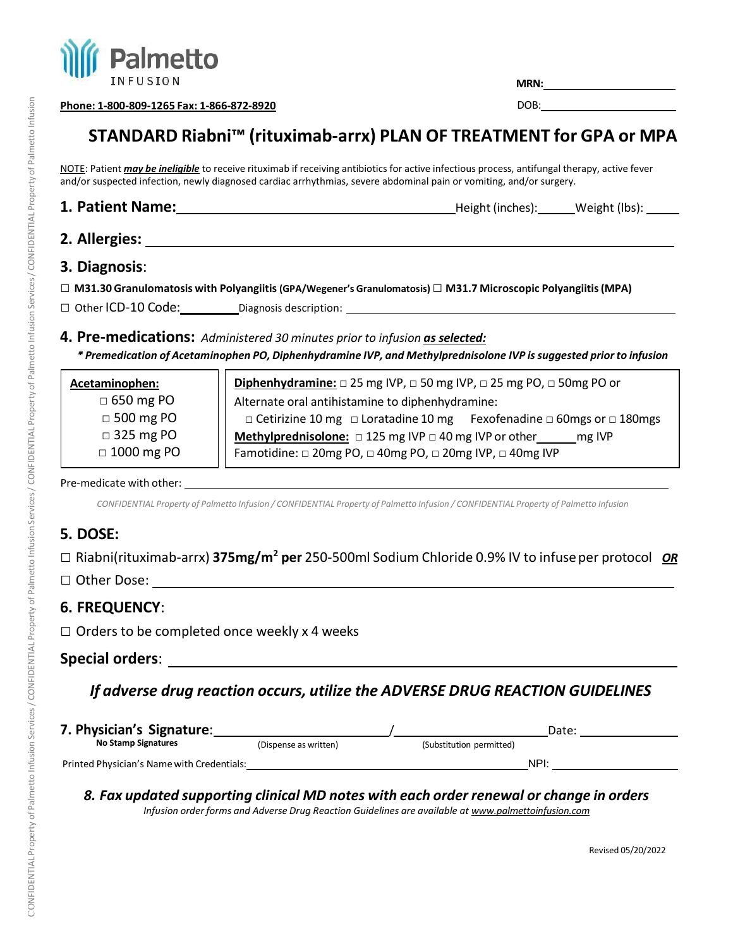

**MRN:**

**Phone: 1‐800‐809‐1265 Fax: 1‐866‐872‐8920**

DOB: the contract of the contract of the contract of the contract of the contract of the contract of the contract of the contract of the contract of the contract of the contract of the contract of the contract of the contr

# **STANDARD Riabni™ (rituximab-arrx) PLAN OF TREATMENT for GPA or MPA**

NOTE: Patient *may be ineligible* to receive rituximab if receiving antibiotics for active infectious process, antifungal therapy, active fever and/or suspected infection, newly diagnosed cardiac arrhythmias, severe abdominal pain or vomiting, and/or surgery.

1. Patient Name: <u>**1.** Patient Name: **Height** (inches): Weight (lbs): Weight (lbs):</u> Netron Letter and Music Music Music Music Music Music Music Music Music Music Music Music Music Music Music Music Music Music Music Music

## **2. Allergies:**

## **3. Diagnosis**:

- □ **M31.30 Granulomatosis with Polyangiitis (GPA/Wegener's Granulomatosis)**□ **M31.7 Microscopic Polyangiitis(MPA)**
- □ Other ICD-10 Code: Diagnosis description: 2000 Diagnosis description: 2000 Diagnosis description: 2000 Diagnosis description: 2000 Diagnosis description: 2000 Diagnosis description: 2000 Diagnosis description: 2000 Diag
- **4. Pre‐medications:** *Administered 30 minutes prior to infusion as selected: \* Premedication of Acetaminophen PO, Diphenhydramine IVP, and Methylprednisolone IVP is suggested prior to infusion*

| Acetaminophen:    | Diphenhydramine: $\square$ 25 mg IVP, $\square$ 50 mg IVP, $\square$ 25 mg PO, $\square$ 50mg PO or |  |  |
|-------------------|-----------------------------------------------------------------------------------------------------|--|--|
| $\Box$ 650 mg PO  | Alternate oral antihistamine to diphenhydramine:                                                    |  |  |
| $\Box$ 500 mg PO  | $\Box$ Cetirizine 10 mg $\Box$ Loratadine 10 mg Fexofenadine $\Box$ 60 mgs or $\Box$ 180 mgs        |  |  |
| $\Box$ 325 mg PO  | Methylprednisolone: $\Box$ 125 mg IVP $\Box$ 40 mg IVP or other<br>mg IVP                           |  |  |
| $\Box$ 1000 mg PO | Famotidine: □ 20mg PO, □ 40mg PO, □ 20mg IVP, □ 40mg IVP                                            |  |  |
|                   |                                                                                                     |  |  |

#### Pre-medicate with other: with the contract of the contract of the contract of the contract of the contract of the contract of the contract of the contract of the contract of the contract of the contract of the contract of

CONFIDENTIAL Property of Palmetto Infusion / CONFIDENTIAL Property of Palmetto Infusion / CONFIDENTIAL Property of Palmetto Infusion

## **5. DOSE:**

□ Riabni(rituximab-arrx) **375mg/m2 per** 250‐500ml Sodium Chloride 0.9% IV to infuseper protocol *OR*

□ Other Dose:

## **6. FREQUENCY**:

 $\Box$  Orders to be completed once weekly x 4 weeks

#### **Special orders**:

## *If adverse drug reaction occurs, utilize the ADVERSE DRUG REACTION GUIDELINES*

| 7. Physician's Signature:                  |                       | Date:                    |      |
|--------------------------------------------|-----------------------|--------------------------|------|
| <b>No Stamp Signatures</b>                 | (Dispense as written) | (Substitution permitted) |      |
| Printed Physician's Name with Credentials: |                       |                          | NPI: |

## *8. Fax updated supporting clinical MD notes with each order renewal or change in orders*

*Infusion order forms and Adverse Drug Reaction Guidelines are available a[t www.palmettoinfusion.com](http://www.palmettoinfusion.com/)*

Revised 05/20/2022